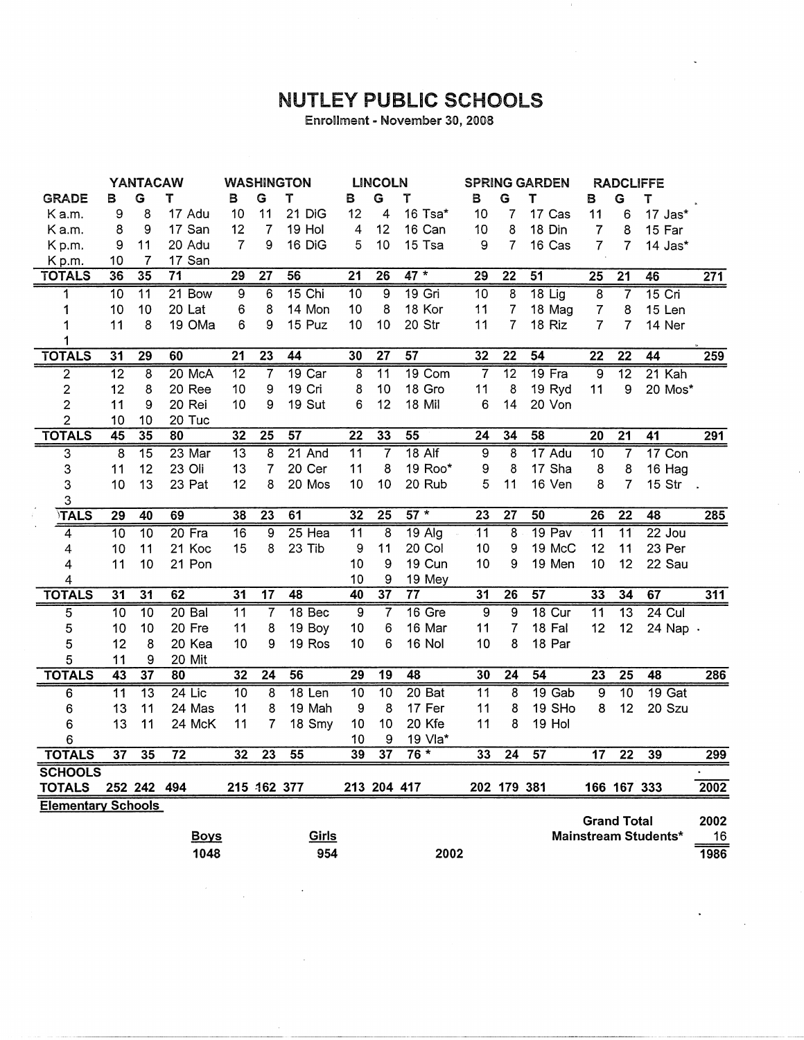## **NUTLEY PUBLIC SCHOOLS**

Enrollment - November 30, 2008

|                           | <b>YANTACAW</b> |                 | <b>WASHINGTON</b> |                 | <b>LINCOLN</b>  |                 | <b>SPRING GARDEN</b> |                 | <b>RADCLIFFE</b> |                 |                         |                 |                    |                 |                      |      |
|---------------------------|-----------------|-----------------|-------------------|-----------------|-----------------|-----------------|----------------------|-----------------|------------------|-----------------|-------------------------|-----------------|--------------------|-----------------|----------------------|------|
| <b>GRADE</b>              | в               | G               | Т                 | в               | G               | T               | в                    | G               | т                | в               | G                       | Т               | В                  | G               | т                    |      |
| K a.m.                    | 9               | 8               | 17 Adu            | 10              | 11              | 21 DiG          | 12                   | 4               | 16 Tsa*          | 10              | 7                       | 17 Cas          | 11                 | 6               | 17 Jas*              |      |
| Ka.m.                     | 8               | 9               | 17 San            | 12              | 7               | 19 Hol          | $\overline{4}$       | 12              | 16 Can           | 10              | 8                       | 18 Din          | $\overline{7}$     | 8               | 15 Far               |      |
| Kp.m.                     | 9               | 11              | 20 Adu            | $\overline{7}$  | 9               | 16 DiG          | 5                    | 10              | 15 Tsa           | 9               | 7                       | 16 Cas          | $\overline{7}$     | $\overline{7}$  | $14$ Jas $*$         |      |
| Kp.m.                     | 10              | 7               | 17 San            |                 |                 |                 |                      |                 |                  |                 |                         |                 |                    |                 |                      |      |
| <b>TOTALS</b>             | 36              | $\overline{35}$ | 71                | $\overline{29}$ | $\overline{27}$ | 56              | $\overline{21}$      | $\overline{26}$ | $47*$            | $\overline{29}$ | $\overline{22}$         | 51              | $\overline{25}$    | $\overline{21}$ | 46                   | 271  |
| 1                         | 10              | $\overline{11}$ | $21$ Bow          | 9               | 6               | 15 Chi          | $\overline{10}$      | 9               | $19$ Gri         | $\overline{10}$ | $\overline{8}$          | $18$ Lig        | 8                  | 7               | $15$ Cri             |      |
| 1                         | 10              | 10              | 20 Lat            | 6               | 8               | 14 Mon          | 10                   | 8               | 18 Kor           | 11              | $\overline{7}$          | 18 Mag          | $\boldsymbol{7}$   | 8               | 15 Len               |      |
| 1                         | 11              | 8               | 19 OMa            | 6               | 9               | 15 Puz          | 10                   | 10              | 20 Str           | 11              | 7                       | 18 Riz          | $\overline{7}$     | 7               | 14 Ner               |      |
| 1                         |                 |                 |                   |                 |                 |                 |                      |                 |                  |                 |                         |                 |                    |                 |                      |      |
| <b>TOTALS</b>             | 31              | 29              | 60                | $\overline{21}$ | $\overline{23}$ | $\overline{44}$ | $\overline{30}$      | $\overline{27}$ | 57               | $\overline{32}$ | $\overline{22}$         | 54              | $\overline{22}$    | $\overline{22}$ | 44                   | 259  |
| $\overline{2}$            | $\overline{12}$ | $\overline{8}$  | 20 McA            | $\overline{12}$ | $\overline{7}$  | 19 Car          | $\overline{8}$       | $\overline{11}$ | 19 Com           | $\overline{7}$  | $\overline{12}$         | $19$ Fra        | $\overline{9}$     | $\overline{12}$ | $21$ Kah             |      |
| $\overline{2}$            | 12              | 8               | 20 Ree            | 10              | 9               | 19 Cri          | 8                    | 10              | 18 Gro           | 11              | 8                       | 19 Ryd          | 11                 | 9               | 20 Mos*              |      |
| $\overline{2}$            | 11              | 9               | 20 Rei            | 10              | 9               | 19 Sut          | 6                    | 12              | 18 Mil           | 6               | 14                      | 20 Von          |                    |                 |                      |      |
| $\overline{c}$            | 10              | 10              | 20 Tuc            |                 |                 |                 |                      |                 |                  |                 |                         |                 |                    |                 |                      |      |
| <b>TOTALS</b>             | 45              | 35              | $\overline{80}$   | $\overline{32}$ | $\overline{25}$ | $\overline{57}$ | $\overline{22}$      | 33              | $\overline{55}$  | $\overline{24}$ | 34                      | $\overline{58}$ | $\overline{20}$    | $\overline{21}$ | $\overline{41}$      | 291  |
| $\overline{3}$            | $\overline{8}$  | $\overline{15}$ | 23 Mar            | $\overline{13}$ | $\overline{8}$  | 21 And          | $\overline{11}$      | 7               | $18$ Alf         | 9               | 8                       | 17 Adu          | $\overline{10}$    | $\overline{7}$  | $17$ Con             |      |
| 3                         | 11              | 12              | 23 Oli            | 13              | $\overline{7}$  | 20 Cer          | 11                   | 8               | 19 Roo*          | 9               | 8                       | 17 Sha          | 8                  | 8               | 16 Hag               |      |
| 3                         | 10              | 13              | 23 Pat            | 12              | 8               | 20 Mos          | 10                   | 10              | 20 Rub           | 5               | 11                      | 16 Ven          | 8                  | $\overline{7}$  | 15 Str .             |      |
| 3                         |                 |                 |                   |                 |                 |                 |                      |                 |                  |                 |                         |                 |                    |                 |                      |      |
| TALS                      | $\overline{29}$ | 40              | 69                | 38              | $\overline{23}$ | 61              | 32                   | $\overline{25}$ | $57*$            | $\overline{23}$ | $\overline{27}$         | 50              | $\overline{26}$    | $\overline{22}$ | 48                   | 285  |
| 4                         | $\overline{10}$ | $\overline{10}$ | 20 Fra            | $\overline{16}$ | $\overline{9}$  | 25 Hea          | $\overline{11}$      | $\overline{8}$  | $19$ Alg         | $\overline{11}$ | 8                       | 19 Pav          | $\overline{11}$    | $\overline{11}$ | $22$ Jou             |      |
| 4                         | 10              | 11              | 21 Koc            | 15              | 8               | 23 Tib          | 9                    | 11              | 20 Col           | 10              | 9                       | 19 McC          | 12                 | 11              | 23 Per               |      |
| 4                         | 11              | 10              | 21 Pon            |                 |                 |                 | 10                   | 9               | 19 Cun           | 10              | 9                       | 19 Men          | 10                 | 12              | 22 Sau               |      |
| 4                         |                 |                 |                   |                 |                 |                 | 10                   | 9               | 19 Mey           |                 |                         |                 |                    |                 |                      |      |
| <b>TOTALS</b>             | $\overline{31}$ | $\overline{31}$ | 62                | $\overline{31}$ | $\overline{17}$ | 48              | 40                   | $\overline{37}$ | $\overline{77}$  | 31              | $\overline{26}$         | 57              | 33                 | 34              | 67                   | 311  |
| 5                         | 10              | $\overline{10}$ | $20$ Bal          | $\overline{11}$ | 7               | $18$ Bec        | $\overline{9}$       | 7               | $16$ Gre         | 9               | 9                       | $18$ Cur        | $\overline{11}$    | $\overline{13}$ | $24$ Cul             |      |
| 5                         | 10              | 10              | 20 Fre            | 11              | 8               | 19 Boy          | 10                   | 6               | 16 Mar           | 11              | $\overline{7}$          | 18 Fal          | 12                 | 12              | 24 Nap .             |      |
| 5                         | 12              | 8               | 20 Kea            | 10              | 9               | 19 Ros          | 10                   | 6               | 16 Nol           | 10              | 8                       | 18 Par          |                    |                 |                      |      |
| 5                         | 11              | 9               | 20 Mit            |                 |                 |                 |                      |                 |                  |                 |                         |                 |                    |                 |                      |      |
| <b>TOTALS</b>             | $\overline{43}$ | $\overline{37}$ | 80                | 32              | $\overline{24}$ | 56              | 29                   | $\overline{19}$ | 48               | 30              | $\overline{24}$         | 54              | $\overline{23}$    | $\overline{25}$ | 48                   | 286  |
| 6                         | $\overline{11}$ | $\overline{13}$ | $24$ Lic          | $\overline{10}$ | 8               | $18$ Len        | $\overline{10}$      | $\overline{10}$ | 20Bat            | $\overline{11}$ | $\overline{\mathbf{8}}$ | $19$ Gab        | $\overline{9}$     | $\overline{10}$ | $19$ Gat             |      |
| 6                         | 13              | 11              | 24 Mas            | 11              | 8               | 19 Mah          | 9                    | 8               | 17 Fer           | 11              | 8                       | 19 SHo          | 8                  | 12              | 20 Szu               |      |
| 6                         | 13              | 11              | 24 McK            | 11              | $\overline{7}$  | 18 Smy          | 10                   | 10              | 20 Kfe           | 11              | 8                       | 19 Hol          |                    |                 |                      |      |
| 6                         |                 |                 |                   |                 |                 |                 | 10                   | 9               | 19 Vla*          |                 |                         |                 |                    |                 |                      |      |
| <b>TOTALS</b>             | $\overline{37}$ | $\overline{35}$ | $\overline{72}$   | 32              | $\overline{23}$ | $\overline{55}$ | 39                   | $\overline{37}$ | $76*$            | 33              | $\overline{24}$         | 57              | 17                 | $\overline{22}$ | 39                   | 299  |
| <b>SCHOOLS</b>            |                 |                 |                   |                 |                 |                 |                      |                 |                  |                 |                         |                 |                    |                 |                      |      |
| <b>TOTALS</b>             |                 | 252 242 494     |                   |                 | 215 462 377     |                 |                      | 213 204 417     |                  |                 | 202 179 381             |                 |                    | 166 167 333     |                      | 2002 |
| <b>Elementary Schools</b> |                 |                 |                   |                 |                 |                 |                      |                 |                  |                 |                         |                 |                    |                 |                      |      |
|                           |                 |                 |                   |                 |                 |                 |                      |                 |                  |                 |                         |                 | <b>Grand Total</b> |                 |                      | 2002 |
|                           |                 |                 | <u>Boys</u>       |                 |                 | Girls           |                      |                 |                  |                 |                         |                 |                    |                 | Mainstream Students* | 16   |
|                           |                 |                 | 1048              |                 |                 | 954             |                      |                 | 2002             |                 |                         |                 |                    |                 |                      | 1986 |